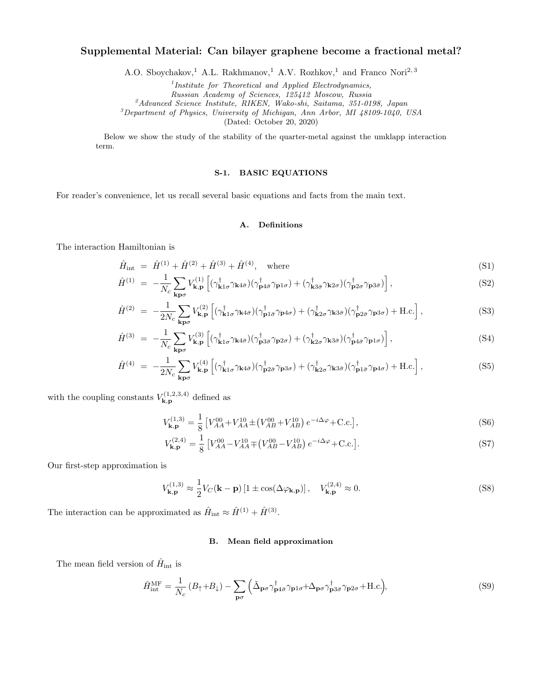# Supplemental Material: Can bilayer graphene become a fractional metal?

A.O. Sboychakov,<sup>1</sup> A.L. Rakhmanov,<sup>1</sup> A.V. Rozhkov,<sup>1</sup> and Franco Nori<sup>2,3</sup>

<sup>1</sup>Institute for Theoretical and Applied Electrodynamics,

Russian Academy of Sciences, 125412 Moscow, Russia

<sup>2</sup>Advanced Science Institute, RIKEN, Wako-shi, Saitama, 351-0198, Japan

<sup>3</sup>Department of Physics, University of Michigan, Ann Arbor, MI 48109-1040, USA

(Dated: October 20, 2020)

Below we show the study of the stability of the quarter-metal against the umklapp interaction term.

# S-1. BASIC EQUATIONS

For reader's convenience, let us recall several basic equations and facts from the main text.

### A. Definitions

The interaction Hamiltonian is

$$
\hat{H}_{\text{int}} = \hat{H}^{(1)} + \hat{H}^{(2)} + \hat{H}^{(3)} + \hat{H}^{(4)}, \text{ where}
$$
\n(S1)

$$
\hat{H}^{(1)} = -\frac{1}{N_c} \sum_{\mathbf{k}\mathbf{p}\sigma} V_{\mathbf{k},\mathbf{p}}^{(1)} \left[ (\gamma_{\mathbf{k}1\sigma}^{\dagger} \gamma_{\mathbf{k}4\bar{\sigma}}) (\gamma_{\mathbf{p}4\bar{\sigma}}^{\dagger} \gamma_{\mathbf{p}1\sigma}) + (\gamma_{\mathbf{k}3\bar{\sigma}}^{\dagger} \gamma_{\mathbf{k}2\sigma}) (\gamma_{\mathbf{p}2\sigma}^{\dagger} \gamma_{\mathbf{p}3\bar{\sigma}}) \right],
$$
\n(S2)

$$
\hat{H}^{(2)} = -\frac{1}{2N_c} \sum_{\mathbf{k}\mathbf{p}\sigma} V_{\mathbf{k},\mathbf{p}}^{(2)} \left[ (\gamma_{\mathbf{k}1\sigma}^{\dagger} \gamma_{\mathbf{k}4\bar{\sigma}}) (\gamma_{\mathbf{p}1\bar{\sigma}}^{\dagger} \gamma_{\mathbf{p}4\sigma}) + (\gamma_{\mathbf{k}2\sigma}^{\dagger} \gamma_{\mathbf{k}3\bar{\sigma}}) (\gamma_{\mathbf{p}2\bar{\sigma}}^{\dagger} \gamma_{\mathbf{p}3\sigma}) + \text{H.c.} \right],\tag{S3}
$$

$$
\hat{H}^{(3)} = -\frac{1}{N_c} \sum_{\mathbf{k}\mathbf{p}\sigma} V_{\mathbf{k},\mathbf{p}}^{(3)} \left[ (\gamma_{\mathbf{k}1\sigma}^{\dagger} \gamma_{\mathbf{k}4\bar{\sigma}}) (\gamma_{\mathbf{p}3\bar{\sigma}}^{\dagger} \gamma_{\mathbf{p}2\sigma}) + (\gamma_{\mathbf{k}2\sigma}^{\dagger} \gamma_{\mathbf{k}3\bar{\sigma}}) (\gamma_{\mathbf{p}4\bar{\sigma}}^{\dagger} \gamma_{\mathbf{p}1\sigma}) \right],
$$
\n(S4)

$$
\hat{H}^{(4)} = -\frac{1}{2N_c} \sum_{\mathbf{k}\mathbf{p}\sigma} V_{\mathbf{k},\mathbf{p}}^{(4)} \left[ (\gamma_{\mathbf{k}1\sigma}^{\dagger} \gamma_{\mathbf{k}4\bar{\sigma}}) (\gamma_{\mathbf{p}2\bar{\sigma}}^{\dagger} \gamma_{\mathbf{p}3\sigma}) + (\gamma_{\mathbf{k}2\sigma}^{\dagger} \gamma_{\mathbf{k}3\bar{\sigma}}) (\gamma_{\mathbf{p}1\bar{\sigma}}^{\dagger} \gamma_{\mathbf{p}4\sigma}) + \text{H.c.} \right],\tag{S5}
$$

with the coupling constants  $V_{\mathbf{k},\mathbf{n}}^{(1,2,3,4)}$  $\mathbf{k},\mathbf{p}^{(1,2,3,4)}$  defined as

$$
V_{\mathbf{k},\mathbf{p}}^{(1,3)} = \frac{1}{8} \left[ V_{AA}^{00} + V_{AA}^{10} \pm (V_{AB}^{00} + V_{AB}^{10}) e^{-i\Delta\varphi} + \text{C.c.} \right],\tag{S6}
$$

$$
V_{\mathbf{k},\mathbf{p}}^{(2,4)} = \frac{1}{8} \left[ V_{AA}^{00} - V_{AA}^{10} \mp (V_{AB}^{00} - V_{AB}^{10}) e^{-i\Delta\varphi} + \text{C.c.} \right]. \tag{S7}
$$

Our first-step approximation is

<span id="page-0-0"></span>
$$
V_{\mathbf{k},\mathbf{p}}^{(1,3)} \approx \frac{1}{2} V_C(\mathbf{k} - \mathbf{p}) \left[ 1 \pm \cos(\Delta \varphi_{\mathbf{k},\mathbf{p}}) \right], \quad V_{\mathbf{k},\mathbf{p}}^{(2,4)} \approx 0. \tag{S8}
$$

The interaction can be approximated as  $\hat{H}_{int} \approx \hat{H}^{(1)} + \hat{H}^{(3)}$ .

### B. Mean field approximation

The mean field version of  $\hat{H}_{\text{int}}$  is

$$
\hat{H}_{\text{int}}^{\text{MF}} = \frac{1}{N_c} \left( B_{\uparrow} + B_{\downarrow} \right) - \sum_{\mathbf{p}\sigma} \left( \tilde{\Delta}_{\mathbf{p}\sigma} \gamma_{\mathbf{p}4\bar{\sigma}}^{\dagger} \gamma_{\mathbf{p}1\sigma} + \Delta_{\mathbf{p}\sigma} \gamma_{\mathbf{p}3\bar{\sigma}}^{\dagger} \gamma_{\mathbf{p}2\sigma} + \text{H.c.} \right), \tag{S9}
$$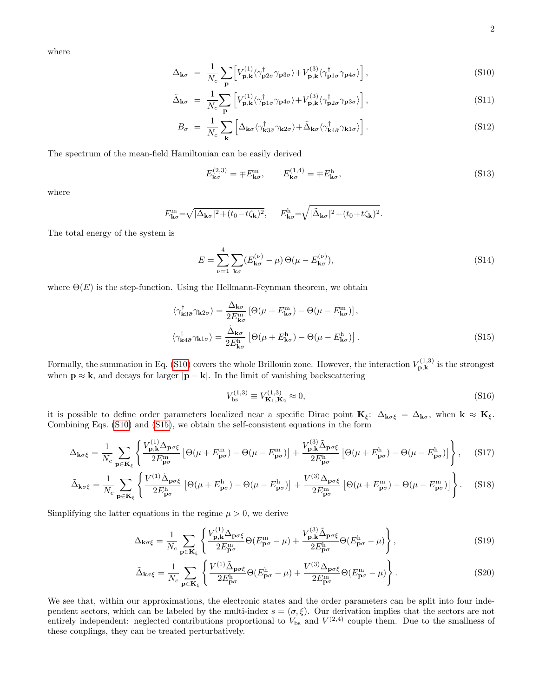where

<span id="page-1-0"></span>
$$
\Delta_{\mathbf{k}\sigma} = \frac{1}{N_c} \sum_{\mathbf{p}} \left[ V_{\mathbf{p}, \mathbf{k}}^{(1)} \langle \gamma_{\mathbf{p} 2\sigma}^{\dagger} \gamma_{\mathbf{p} 3\bar{\sigma}} \rangle + V_{\mathbf{p}, \mathbf{k}}^{(3)} \langle \gamma_{\mathbf{p} 1\sigma}^{\dagger} \gamma_{\mathbf{p} 4\bar{\sigma}} \rangle \right], \tag{S10}
$$

$$
\tilde{\Delta}_{\mathbf{k}\sigma} = \frac{1}{N_c} \sum_{\mathbf{p}} \left[ V_{\mathbf{p}, \mathbf{k}}^{(1)} \langle \gamma_{\mathbf{p}1\sigma}^{\dagger} \gamma_{\mathbf{p}4\bar{\sigma}} \rangle + V_{\mathbf{p}, \mathbf{k}}^{(3)} \langle \gamma_{\mathbf{p}2\sigma}^{\dagger} \gamma_{\mathbf{p}3\bar{\sigma}} \rangle \right], \tag{S11}
$$

$$
B_{\sigma} = \frac{1}{N_c} \sum_{\mathbf{k}} \left[ \Delta_{\mathbf{k}\sigma} \langle \gamma^{\dagger}_{\mathbf{k}3\bar{\sigma}} \gamma_{\mathbf{k}2\sigma} \rangle + \tilde{\Delta}_{\mathbf{k}\sigma} \langle \gamma^{\dagger}_{\mathbf{k}4\bar{\sigma}} \gamma_{\mathbf{k}1\sigma} \rangle \right]. \tag{S12}
$$

The spectrum of the mean-field Hamiltonian can be easily derived

<span id="page-1-3"></span>
$$
E_{\mathbf{k}\sigma}^{(2,3)} = \mp E_{\mathbf{k}\sigma}^{\mathrm{m}}, \qquad E_{\mathbf{k}\sigma}^{(1,4)} = \mp E_{\mathbf{k}\sigma}^{\mathrm{h}}, \tag{S13}
$$

where

$$
E_{\mathbf{k}\sigma}^{\mathbf{m}} = \sqrt{|\Delta_{\mathbf{k}\sigma}|^2 + (t_0 - t\zeta_{\mathbf{k}})^2}, \qquad E_{\mathbf{k}\sigma}^{\mathbf{h}} = \sqrt{|\tilde{\Delta}_{\mathbf{k}\sigma}|^2 + (t_0 + t\zeta_{\mathbf{k}})^2}.
$$

The total energy of the system is

$$
E = \sum_{\nu=1}^{4} \sum_{\mathbf{k}\sigma} (E_{\mathbf{k}\sigma}^{(\nu)} - \mu) \Theta(\mu - E_{\mathbf{k}\sigma}^{(\nu)}),
$$
 (S14)

where  $\Theta(E)$  is the step-function. Using the Hellmann-Feynman theorem, we obtain

<span id="page-1-1"></span>
$$
\langle \gamma_{\mathbf{k}3\bar{\sigma}}^{\dagger} \gamma_{\mathbf{k}2\sigma} \rangle = \frac{\Delta_{\mathbf{k}\sigma}}{2E_{\mathbf{k}\sigma}^{\mathrm{m}}} \left[ \Theta(\mu + E_{\mathbf{k}\sigma}^{\mathrm{m}}) - \Theta(\mu - E_{\mathbf{k}\sigma}^{\mathrm{m}}) \right],
$$
  

$$
\langle \gamma_{\mathbf{k}4\bar{\sigma}}^{\dagger} \gamma_{\mathbf{k}1\sigma} \rangle = \frac{\tilde{\Delta}_{\mathbf{k}\sigma}}{2E_{\mathbf{k}\sigma}^{\mathrm{h}}} \left[ \Theta(\mu + E_{\mathbf{k}\sigma}^{\mathrm{h}}) - \Theta(\mu - E_{\mathbf{k}\sigma}^{\mathrm{h}}) \right].
$$
 (S15)

Formally, the summation in Eq. [\(S10\)](#page-1-0) covers the whole Brillouin zone. However, the interaction  $V_{\mathbf{n}\, \mathbf{k}}^{(1,3)}$  $\mathbf{p},\mathbf{k}^{(1,0)}$  is the strongest when  $\mathbf{p} \approx \mathbf{k}$ , and decays for larger  $|\mathbf{p} - \mathbf{k}|$ . In the limit of vanishing backscattering

$$
V_{\rm bs}^{(1,3)} \equiv V_{\mathbf{K}_1,\mathbf{K}_2}^{(1,3)} \approx 0,\tag{S16}
$$

it is possible to define order parameters localized near a specific Dirac point  $\mathbf{K}_{\xi}$ :  $\Delta_{\mathbf{k}\sigma\xi} = \Delta_{\mathbf{k}\sigma}$ , when  $\mathbf{k} \approx \mathbf{K}_{\xi}$ . Combining Eqs. [\(S10\)](#page-1-0) and [\(S15\)](#page-1-1), we obtain the self-consistent equations in the form

$$
\Delta_{\mathbf{k}\sigma\xi} = \frac{1}{N_c} \sum_{\mathbf{p} \in \mathbf{K}_{\xi}} \left\{ \frac{V_{\mathbf{p},\mathbf{k}}^{(1)} \Delta_{\mathbf{p}\sigma\xi}}{2E_{\mathbf{p}\sigma}^m} \left[ \Theta(\mu + E_{\mathbf{p}\sigma}^m) - \Theta(\mu - E_{\mathbf{p}\sigma}^m) \right] + \frac{V_{\mathbf{p},\mathbf{k}}^{(3)} \tilde{\Delta}_{\mathbf{p}\sigma\xi}}{2E_{\mathbf{p}\sigma}^h} \left[ \Theta(\mu + E_{\mathbf{p}\sigma}^h) - \Theta(\mu - E_{\mathbf{p}\sigma}^h) \right] \right\}, \quad (S17)
$$

$$
\tilde{\Delta}_{\mathbf{k}\sigma\xi} = \frac{1}{N_c} \sum_{\mathbf{p} \in \mathbf{K}_{\xi}} \left\{ \frac{V^{(1)} \tilde{\Delta}_{\mathbf{p}\sigma\xi}}{2E_{\mathbf{p}\sigma}^{\text{h}}} \left[ \Theta(\mu + E_{\mathbf{p}\sigma}^{\text{h}}) - \Theta(\mu - E_{\mathbf{p}\sigma}^{\text{h}}) \right] + \frac{V^{(3)} \Delta_{\mathbf{p}\sigma\xi}}{2E_{\mathbf{p}\sigma}^{\text{m}}} \left[ \Theta(\mu + E_{\mathbf{p}\sigma}^{\text{m}}) - \Theta(\mu - E_{\mathbf{p}\sigma}^{\text{m}}) \right] \right\}.
$$
 (S18)

Simplifying the latter equations in the regime  $\mu > 0$ , we derive

<span id="page-1-2"></span>
$$
\Delta_{\mathbf{k}\sigma\xi} = \frac{1}{N_c} \sum_{\mathbf{p} \in \mathbf{K}_{\xi}} \left\{ \frac{V_{\mathbf{p},\mathbf{k}}^{(1)} \Delta_{\mathbf{p}\sigma\xi}}{2E_{\mathbf{p}\sigma}^{\mathrm{m}}} \Theta(E_{\mathbf{p}\sigma}^{\mathrm{m}} - \mu) + \frac{V_{\mathbf{p},\mathbf{k}}^{(3)} \tilde{\Delta}_{\mathbf{p}\sigma\xi}}{2E_{\mathbf{p}\sigma}^{\mathrm{h}}} \Theta(E_{\mathbf{p}\sigma}^{\mathrm{h}} - \mu) \right\},
$$
\n(S19)

$$
\tilde{\Delta}_{\mathbf{k}\sigma\xi} = \frac{1}{N_c} \sum_{\mathbf{p} \in \mathbf{K}_{\xi}} \left\{ \frac{V^{(1)} \tilde{\Delta}_{\mathbf{p}\sigma\xi}}{2E_{\mathbf{p}\sigma}^{\mathrm{h}}} \Theta(E_{\mathbf{p}\sigma}^{\mathrm{h}} - \mu) + \frac{V^{(3)} \Delta_{\mathbf{p}\sigma\xi}}{2E_{\mathbf{p}\sigma}^{\mathrm{m}}} \Theta(E_{\mathbf{p}\sigma}^{\mathrm{m}} - \mu) \right\}.
$$
\n
$$
(S20)
$$

We see that, within our approximations, the electronic states and the order parameters can be split into four independent sectors, which can be labeled by the multi-index  $s = (\sigma, \xi)$ . Our derivation implies that the sectors are not entirely independent: neglected contributions proportional to  $V_{\text{bs}}$  and  $V^{(2,4)}$  couple them. Due to the smallness of these couplings, they can be treated perturbatively.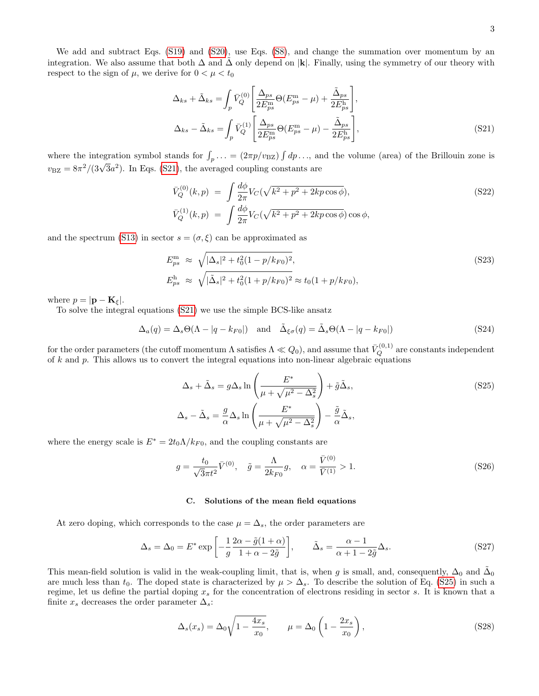We add and subtract Eqs. [\(S19\)](#page-1-2) and [\(S20\)](#page-1-2), use Eqs. [\(S8\)](#page-0-0), and change the summation over momentum by an integration. We also assume that both  $\Delta$  and  $\Delta$  only depend on |k|. Finally, using the symmetry of our theory with respect to the sign of  $\mu$ , we derive for  $0 < \mu < t_0$ 

<span id="page-2-0"></span>
$$
\Delta_{ks} + \tilde{\Delta}_{ks} = \int_p \bar{V}_Q^{(0)} \left[ \frac{\Delta_{ps}}{2E_{ps}^{\text{m}}} \Theta(E_{ps}^{\text{m}} - \mu) + \frac{\tilde{\Delta}_{ps}}{2E_{ps}^{\text{h}}} \right],
$$
  

$$
\Delta_{ks} - \tilde{\Delta}_{ks} = \int_p \bar{V}_Q^{(1)} \left[ \frac{\Delta_{ps}}{2E_{ps}^{\text{m}}} \Theta(E_{ps}^{\text{m}} - \mu) - \frac{\tilde{\Delta}_{ps}}{2E_{ps}^{\text{h}}} \right],
$$
(S21)

where the integration symbol stands for  $\int_p \ldots = (2\pi p/v_{\text{BZ}}) \int dp \ldots$ , and the volume (area) of the Brillouin zone is where the integration symbol stands for  $j_p$ ...  $(x_n p_{\text{BZ}})$  ( $y_p$ ),  $y_p$ ,  $y_p$ ,  $y_p$ ,  $y_p$ ,  $y_p$ ,  $y_p$ ,  $y_p$ ,  $y_p$ ,  $y_p$ 

$$
\bar{V}_Q^{(0)}(k, p) = \int \frac{d\phi}{2\pi} V_C(\sqrt{k^2 + p^2 + 2kp\cos\phi}),
$$
\n(S22)\n
$$
\bar{V}_Q^{(1)}(k, p) = \int \frac{d\phi}{2\pi} V_C(\sqrt{k^2 + p^2 + 2kp\cos\phi}) \cos\phi,
$$

and the spectrum [\(S13\)](#page-1-3) in sector  $s = (\sigma, \xi)$  can be approximated as

$$
E_{ps}^{\rm m} \approx \sqrt{|\Delta_s|^2 + t_0^2 (1 - p/k_{F0})^2},
$$
  
\n
$$
E_{ps}^{\rm h} \approx \sqrt{|\tilde{\Delta}_s|^2 + t_0^2 (1 + p/k_{F0})^2} \approx t_0 (1 + p/k_{F0}),
$$
\n(S23)

where  $p = |\mathbf{p} - \mathbf{K}_{\xi}|$ .

To solve the integral equations [\(S21\)](#page-2-0) we use the simple BCS-like ansatz

$$
\Delta_a(q) = \Delta_s \Theta(\Lambda - |q - k_{F0}|) \quad \text{and} \quad \tilde{\Delta}_{\xi\sigma}(q) = \tilde{\Delta}_s \Theta(\Lambda - |q - k_{F0}|) \tag{S24}
$$

for the order parameters (the cutoff momentum  $\Lambda$  satisfies  $\Lambda \ll Q_0$ ), and assume that  $\bar V^{(0,1)}_Q$  are constants independent of  $k$  and  $p$ . This allows us to convert the integral equations into non-linear algebraic equations

<span id="page-2-1"></span>
$$
\Delta_s + \tilde{\Delta}_s = g \Delta_s \ln \left( \frac{E^*}{\mu + \sqrt{\mu^2 - \Delta_s^2}} \right) + \tilde{g} \tilde{\Delta}_s,
$$
\n
$$
\Delta_s - \tilde{\Delta}_s = \frac{g}{\alpha} \Delta_s \ln \left( \frac{E^*}{\mu + \sqrt{\mu^2 - \Delta_s^2}} \right) - \frac{\tilde{g}}{\alpha} \tilde{\Delta}_s,
$$
\n(S25)

where the energy scale is  $E^* = 2t_0 \Lambda/k_{F0}$ , and the coupling constants are

$$
g = \frac{t_0}{\sqrt{3}\pi t^2} \bar{V}^{(0)}, \quad \tilde{g} = \frac{\Lambda}{2k_{F0}} g, \quad \alpha = \frac{\bar{V}^{(0)}}{\bar{V}^{(1)}} > 1.
$$
 (S26)

#### C. Solutions of the mean field equations

At zero doping, which corresponds to the case  $\mu = \Delta_s$ , the order parameters are

<span id="page-2-3"></span>
$$
\Delta_s = \Delta_0 = E^* \exp\left[ -\frac{1}{g} \frac{2\alpha - \tilde{g}(1+\alpha)}{1+\alpha-2\tilde{g}} \right], \qquad \tilde{\Delta}_s = \frac{\alpha-1}{\alpha+1-2\tilde{g}} \Delta_s. \tag{S27}
$$

This mean-field solution is valid in the weak-coupling limit, that is, when g is small, and, consequently,  $\Delta_0$  and  $\tilde{\Delta}_0$ are much less than  $t_0$ . The doped state is characterized by  $\mu > \Delta_s$ . To describe the solution of Eq. [\(S25\)](#page-2-1) in such a regime, let us define the partial doping  $x_s$  for the concentration of electrons residing in sector s. It is known that a finite  $x_s$  decreases the order parameter  $\Delta_s$ :

<span id="page-2-2"></span>
$$
\Delta_s(x_s) = \Delta_0 \sqrt{1 - \frac{4x_s}{x_0}}, \qquad \mu = \Delta_0 \left(1 - \frac{2x_s}{x_0}\right),\tag{S28}
$$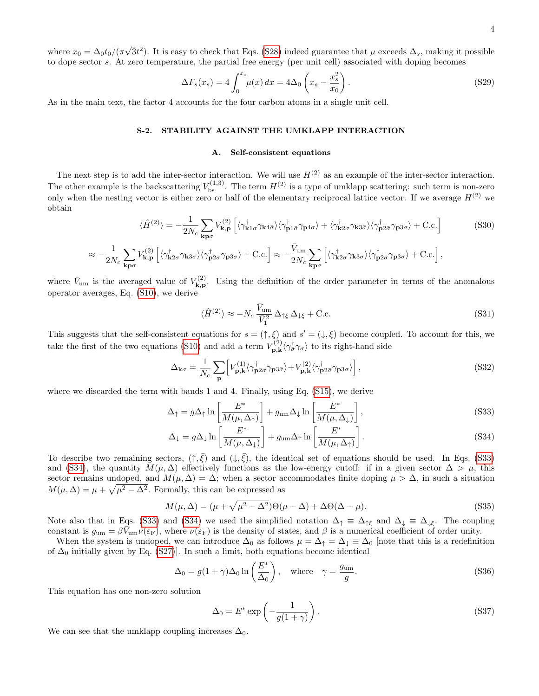where  $x_0 = \Delta_0 t_0 / (\pi)$ √  $\overline{3}t^2$ ). It is easy to check that Eqs. [\(S28\)](#page-2-2) indeed guarantee that  $\mu$  exceeds  $\Delta_s$ , making it possible to dope sector s. At zero temperature, the partial free energy (per unit cell) associated with doping becomes

$$
\Delta F_s(x_s) = 4 \int_0^{x_s} \mu(x) \, dx = 4\Delta_0 \left( x_s - \frac{x_s^2}{x_0} \right). \tag{S29}
$$

As in the main text, the factor 4 accounts for the four carbon atoms in a single unit cell.

# S-2. STABILITY AGAINST THE UMKLAPP INTERACTION

#### A. Self-consistent equations

The next step is to add the inter-sector interaction. We will use  $H^{(2)}$  as an example of the inter-sector interaction. The other example is the backscattering  $V_{\text{bs}}^{(1,3)}$ . The term  $H^{(2)}$  is a type of umklapp scattering: such term is non-zero only when the nesting vector is either zero or half of the elementary reciprocal lattice vector. If we average  $H^{(2)}$  we obtain

$$
\langle \hat{H}^{(2)} \rangle = -\frac{1}{2N_c} \sum_{\mathbf{k}p\sigma} V_{\mathbf{k},\mathbf{p}}^{(2)} \left[ \langle \gamma_{\mathbf{k}1\sigma}^{\dagger} \gamma_{\mathbf{k}4\bar{\sigma}} \rangle \langle \gamma_{\mathbf{p}1\bar{\sigma}}^{\dagger} \gamma_{\mathbf{p}4\sigma} \rangle + \langle \gamma_{\mathbf{k}2\sigma}^{\dagger} \gamma_{\mathbf{k}3\bar{\sigma}} \rangle \langle \gamma_{\mathbf{p}2\bar{\sigma}}^{\dagger} \gamma_{\mathbf{p}3\sigma} \rangle + \text{C.c.} \right]
$$
(S30)  

$$
\approx -\frac{1}{2N_c} \sum_{\mathbf{k},\mathbf{p}} V_{\mathbf{k},\mathbf{p}}^{(2)} \left[ \langle \gamma_{\mathbf{k}2\sigma}^{\dagger} \gamma_{\mathbf{k}3\bar{\sigma}} \rangle \langle \gamma_{\mathbf{p}2\bar{\sigma}}^{\dagger} \gamma_{\mathbf{p}3\sigma} \rangle + \text{C.c.} \right] \approx -\frac{\bar{V}_{\text{um}}}{2N_c} \sum_{\mathbf{k}2\sigma} \left[ \langle \gamma_{\mathbf{k}2\sigma}^{\dagger} \gamma_{\mathbf{k}3\bar{\sigma}} \rangle \langle \gamma_{\mathbf{p}2\bar{\sigma}}^{\dagger} \gamma_{\mathbf{p}3\sigma} \rangle + \text{C.c.} \right],
$$

 $2N_c$ 

 ${\rm\bf k}$ p $\sigma$  $\mathbf{k}\mathbf{p}\sigma$ where  $\bar{V}_{um}$  is the averaged value of  $V_{\mathbf{k},\mathbf{p}}^{(2)}$  $k, p$ . Using the definition of the order parameter in terms of the anomalous operator averages, Eq. [\(S10\)](#page-1-0), we derive

$$
\langle \hat{H}^{(2)} \rangle \approx -N_c \frac{\bar{V}_{\text{um}}}{\bar{V}_1^2} \Delta_{\uparrow \xi} \Delta_{\downarrow \xi} + \text{C.c.}
$$
\n(S31)

This suggests that the self-consistent equations for  $s = (\uparrow, \xi)$  and  $s' = (\downarrow, \xi)$  become coupled. To account for this, we take the first of the two equations [\(S10\)](#page-1-0) and add a term  $V_{\mathbf{n}\,k}^{(2)}$  $\langle \gamma_{\bar{\sigma}}^{(2)} \langle \gamma_{\bar{\sigma}}^{\dagger} \gamma_{\sigma} \rangle$  to its right-hand side

$$
\Delta_{\mathbf{k}\sigma} = \frac{1}{N_c} \sum_{\mathbf{p}} \left[ V_{\mathbf{p}, \mathbf{k}}^{(1)} \langle \gamma_{\mathbf{p}2\sigma}^{\dagger} \gamma_{\mathbf{p}3\bar{\sigma}} \rangle + V_{\mathbf{p}, \mathbf{k}}^{(2)} \langle \gamma_{\mathbf{p}2\bar{\sigma}}^{\dagger} \gamma_{\mathbf{p}3\sigma} \rangle \right], \tag{S32}
$$

where we discarded the term with bands 1 and 4. Finally, using Eq. [\(S15\)](#page-1-1), we derive

<span id="page-3-0"></span>
$$
\Delta_{\uparrow} = g \Delta_{\uparrow} \ln \left[ \frac{E^*}{M(\mu, \Delta_{\uparrow})} \right] + g_{\rm um} \Delta_{\downarrow} \ln \left[ \frac{E^*}{M(\mu, \Delta_{\downarrow})} \right], \tag{S33}
$$

$$
\Delta_{\downarrow} = g \Delta_{\downarrow} \ln \left[ \frac{E^*}{M(\mu, \Delta_{\downarrow})} \right] + g_{\text{um}} \Delta_{\uparrow} \ln \left[ \frac{E^*}{M(\mu, \Delta_{\uparrow})} \right]. \tag{S34}
$$

To describe two remaining sectors,  $(\uparrow, \bar{\xi})$  and  $(\downarrow, \bar{\xi})$ , the identical set of equations should be used. In Eqs. [\(S33\)](#page-3-0) and [\(S34\)](#page-3-0), the quantity  $M(\mu, \Delta)$  effectively functions as the low-energy cutoff: if in a given sector  $\Delta > \mu$ , this sector remains undoped, and  $M(\mu, \Delta) = \Delta$ ; when a sector accommodates finite doping  $\mu > \Delta$ , in such a situation  $M(\mu, \Delta) = \mu + \sqrt{\mu^2 - \Delta^2}$ . Formally, this can be expressed as

$$
M(\mu, \Delta) = (\mu + \sqrt{\mu^2 - \Delta^2})\Theta(\mu - \Delta) + \Delta\Theta(\Delta - \mu). \tag{S35}
$$

Note also that in Eqs. [\(S33\)](#page-3-0) and [\(S34\)](#page-3-0) we used the simplified notation  $\Delta_{\uparrow} \equiv \Delta_{\uparrow \xi}$  and  $\Delta_{\downarrow} \equiv \Delta_{\downarrow \xi}$ . The coupling constant is  $g_{um} = \beta \vec{V}_{um} \nu(\varepsilon_F)$ , where  $\nu(\varepsilon_F)$  is the density of states, and  $\beta$  is a numerical coefficient of order unity.

When the system is undoped, we can introduce  $\Delta_0$  as follows  $\mu = \Delta_{\uparrow} = \Delta_{\downarrow} \equiv \Delta_0$  [note that this is a redefinition of  $\Delta_0$  initially given by Eq. [\(S27\)](#page-2-3)]. In such a limit, both equations become identical

$$
\Delta_0 = g(1+\gamma)\Delta_0 \ln\left(\frac{E^*}{\Delta_0}\right), \quad \text{where} \quad \gamma = \frac{g_{\text{um}}}{g}.
$$
\n(S36)

This equation has one non-zero solution

 $2N_c$ 

<span id="page-3-1"></span>
$$
\Delta_0 = E^* \exp\left(-\frac{1}{g(1+\gamma)}\right). \tag{S37}
$$

We can see that the umklapp coupling increases  $\Delta_0$ .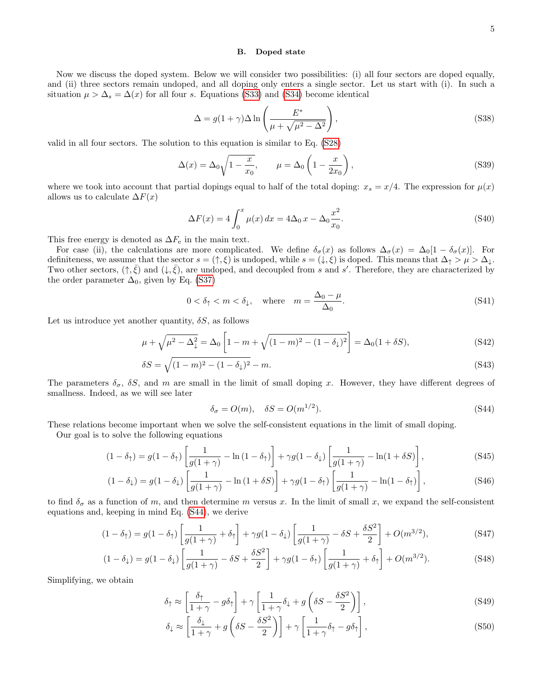#### B. Doped state

Now we discuss the doped system. Below we will consider two possibilities: (i) all four sectors are doped equally, and (ii) three sectors remain undoped, and all doping only enters a single sector. Let us start with (i). In such a situation  $\mu > \Delta_s = \Delta(x)$  for all four s. Equations [\(S33\)](#page-3-0) and [\(S34\)](#page-3-0) become identical

$$
\Delta = g(1+\gamma)\Delta \ln \left(\frac{E^*}{\mu + \sqrt{\mu^2 - \Delta^2}}\right),
$$
\n(S38)

valid in all four sectors. The solution to this equation is similar to Eq. [\(S28\)](#page-2-2)

$$
\Delta(x) = \Delta_0 \sqrt{1 - \frac{x}{x_0}}, \qquad \mu = \Delta_0 \left(1 - \frac{x}{2x_0}\right), \tag{S39}
$$

where we took into account that partial dopings equal to half of the total doping:  $x_s = x/4$ . The expression for  $\mu(x)$ allows us to calculate  $\Delta F(x)$ 

<span id="page-4-1"></span>
$$
\Delta F(x) = 4 \int_0^x \mu(x) dx = 4\Delta_0 x - \Delta_0 \frac{x^2}{x_0}.
$$
\n( S40)

This free energy is denoted as  $\Delta F_e$  in the main text.

For case (ii), the calculations are more complicated. We define  $\delta_{\sigma}(x)$  as follows  $\Delta_{\sigma}(x) = \Delta_0[1 - \delta_{\sigma}(x)]$ . For definiteness, we assume that the sector  $s = (\uparrow, \xi)$  is undoped, while  $s = (\downarrow, \xi)$  is doped. This means that  $\Delta_{\uparrow} > \mu > \Delta_{\downarrow}$ . Two other sectors,  $(\uparrow, \bar{\xi})$  and  $(\downarrow, \bar{\xi})$ , are undoped, and decoupled from s and s'. Therefore, they are characterized by the order parameter  $\Delta_0$ , given by Eq. [\(S37\)](#page-3-1)

$$
0 < \delta_{\uparrow} < m < \delta_{\downarrow}, \quad \text{where} \quad m = \frac{\Delta_0 - \mu}{\Delta_0}.\tag{S41}
$$

Let us introduce yet another quantity,  $\delta S$ , as follows

$$
\mu + \sqrt{\mu^2 - \Delta_{\downarrow}^2} = \Delta_0 \left[ 1 - m + \sqrt{(1 - m)^2 - (1 - \delta_{\downarrow})^2} \right] = \Delta_0 (1 + \delta S), \tag{S42}
$$

$$
\delta S = \sqrt{(1 - m)^2 - (1 - \delta_{\downarrow})^2} - m. \tag{S43}
$$

The parameters  $\delta_{\sigma}$ ,  $\delta S$ , and m are small in the limit of small doping x. However, they have different degrees of smallness. Indeed, as we will see later

<span id="page-4-0"></span>
$$
\delta_{\sigma} = O(m), \quad \delta S = O(m^{1/2}). \tag{S44}
$$

These relations become important when we solve the self-consistent equations in the limit of small doping.

Our goal is to solve the following equations

$$
(1 - \delta_{\uparrow}) = g(1 - \delta_{\uparrow}) \left[ \frac{1}{g(1 + \gamma)} - \ln(1 - \delta_{\uparrow}) \right] + \gamma g(1 - \delta_{\downarrow}) \left[ \frac{1}{g(1 + \gamma)} - \ln(1 + \delta S) \right],
$$
\n(S45)

$$
(1 - \delta_{\downarrow}) = g(1 - \delta_{\downarrow}) \left[ \frac{1}{g(1 + \gamma)} - \ln(1 + \delta S) \right] + \gamma g(1 - \delta_{\uparrow}) \left[ \frac{1}{g(1 + \gamma)} - \ln(1 - \delta_{\uparrow}) \right],
$$
\n(S46)

to find  $\delta_{\sigma}$  as a function of m, and then determine m versus x. In the limit of small x, we expand the self-consistent equations and, keeping in mind Eq. [\(S44\)](#page-4-0), we derive

$$
(1 - \delta_{\uparrow}) = g(1 - \delta_{\uparrow}) \left[ \frac{1}{g(1 + \gamma)} + \delta_{\uparrow} \right] + \gamma g(1 - \delta_{\downarrow}) \left[ \frac{1}{g(1 + \gamma)} - \delta S + \frac{\delta S^2}{2} \right] + O(m^{3/2}), \tag{S47}
$$

$$
(1 - \delta_{\downarrow}) = g(1 - \delta_{\downarrow}) \left[ \frac{1}{g(1 + \gamma)} - \delta S + \frac{\delta S^2}{2} \right] + \gamma g(1 - \delta_{\uparrow}) \left[ \frac{1}{g(1 + \gamma)} + \delta_{\uparrow} \right] + O(m^{3/2}). \tag{S48}
$$

Simplifying, we obtain

$$
\delta_{\uparrow} \approx \left[ \frac{\delta_{\uparrow}}{1+\gamma} - g \delta_{\uparrow} \right] + \gamma \left[ \frac{1}{1+\gamma} \delta_{\downarrow} + g \left( \delta S - \frac{\delta S^2}{2} \right) \right],\tag{S49}
$$

$$
\delta_{\downarrow} \approx \left[ \frac{\delta_{\downarrow}}{1+\gamma} + g \left( \delta S - \frac{\delta S^2}{2} \right) \right] + \gamma \left[ \frac{1}{1+\gamma} \delta_{\uparrow} - g \delta_{\uparrow} \right],\tag{S50}
$$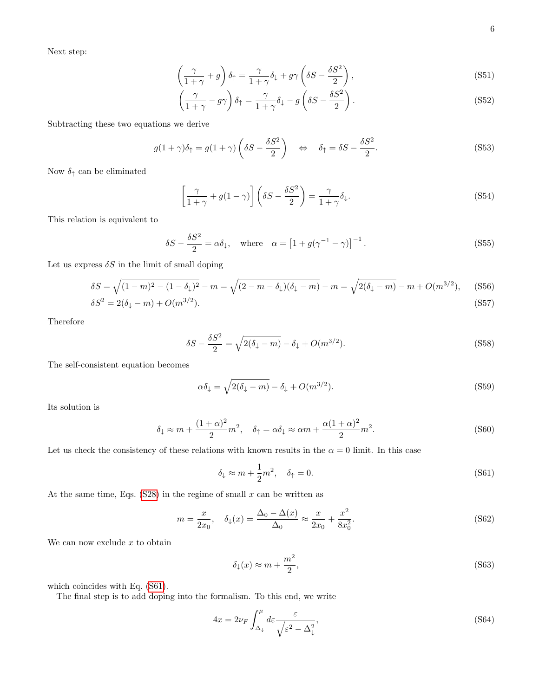Next step:

$$
\left(\frac{\gamma}{1+\gamma}+g\right)\delta_{\uparrow} = \frac{\gamma}{1+\gamma}\delta_{\downarrow} + g\gamma\left(\delta S - \frac{\delta S^2}{2}\right),\tag{S51}
$$

$$
\left(\frac{\gamma}{1+\gamma} - g\gamma\right)\delta_{\uparrow} = \frac{\gamma}{1+\gamma}\delta_{\downarrow} - g\left(\delta S - \frac{\delta S^2}{2}\right). \tag{S52}
$$

Subtracting these two equations we derive

$$
g(1+\gamma)\delta_{\uparrow} = g(1+\gamma)\left(\delta S - \frac{\delta S^2}{2}\right) \quad \Leftrightarrow \quad \delta_{\uparrow} = \delta S - \frac{\delta S^2}{2}.\tag{S53}
$$

Now  $\delta_{\uparrow}$  can be eliminated

$$
\left[\frac{\gamma}{1+\gamma} + g(1-\gamma)\right] \left(\delta S - \frac{\delta S^2}{2}\right) = \frac{\gamma}{1+\gamma} \delta_{\downarrow}.
$$
\n(S54)

This relation is equivalent to

$$
\delta S - \frac{\delta S^2}{2} = \alpha \delta_{\downarrow}, \quad \text{where} \quad \alpha = \left[1 + g(\gamma^{-1} - \gamma)\right]^{-1}.
$$
 (S55)

Let us express  $\delta S$  in the limit of small doping

$$
\delta S = \sqrt{(1-m)^2 - (1-\delta_{\downarrow})^2} - m = \sqrt{(2-m-\delta_{\downarrow})(\delta_{\downarrow}-m)} - m = \sqrt{2(\delta_{\downarrow}-m)} - m + O(m^{3/2}),
$$
(S56)

$$
\delta S^2 = 2(\delta_{\downarrow} - m) + O(m^{3/2}).\tag{S57}
$$

Therefore

$$
\delta S - \frac{\delta S^2}{2} = \sqrt{2(\delta_{\downarrow} - m)} - \delta_{\downarrow} + O(m^{3/2}).
$$
\n(S58)

The self-consistent equation becomes

$$
\alpha \delta_{\downarrow} = \sqrt{2(\delta_{\downarrow} - m)} - \delta_{\downarrow} + O(m^{3/2}). \tag{S59}
$$

Its solution is

<span id="page-5-1"></span>
$$
\delta_{\downarrow} \approx m + \frac{(1+\alpha)^2}{2}m^2, \quad \delta_{\uparrow} = \alpha \delta_{\downarrow} \approx \alpha m + \frac{\alpha(1+\alpha)^2}{2}m^2. \tag{S60}
$$

Let us check the consistency of these relations with known results in the  $\alpha = 0$  limit. In this case

<span id="page-5-0"></span>
$$
\delta_{\downarrow} \approx m + \frac{1}{2}m^2, \quad \delta_{\uparrow} = 0. \tag{S61}
$$

At the same time, Eqs.  $(S28)$  in the regime of small x can be written as

$$
m = \frac{x}{2x_0}, \quad \delta_1(x) = \frac{\Delta_0 - \Delta(x)}{\Delta_0} \approx \frac{x}{2x_0} + \frac{x^2}{8x_0^2}.
$$
 (S62)

We can now exclude  $x$  to obtain

$$
\delta_{\downarrow}(x) \approx m + \frac{m^2}{2},\tag{S63}
$$

which coincides with Eq. [\(S61\)](#page-5-0).

The final step is to add doping into the formalism. To this end, we write

$$
4x = 2\nu_F \int_{\Delta_\downarrow}^{\mu} d\varepsilon \frac{\varepsilon}{\sqrt{\varepsilon^2 - \Delta_\downarrow^2}},\tag{S64}
$$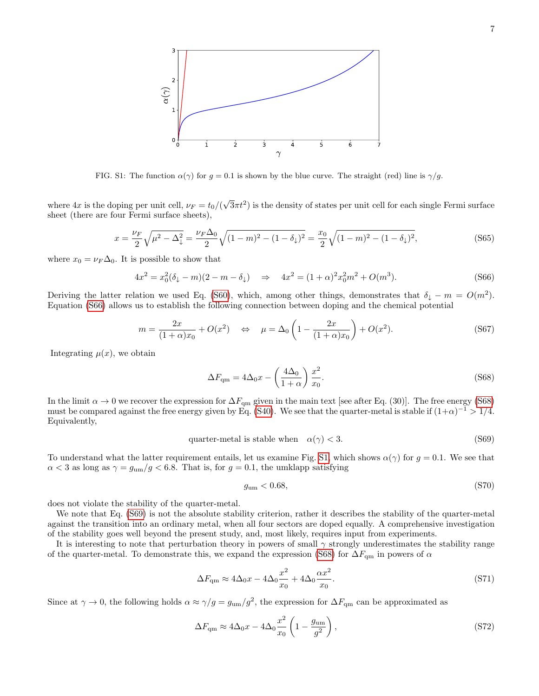

<span id="page-6-2"></span>FIG. S1: The function  $\alpha(\gamma)$  for  $g = 0.1$  is shown by the blue curve. The straight (red) line is  $\gamma/g$ .

where  $4x$  is the doping per unit cell,  $\nu_F = t_0/(\sqrt{2\pi} + \sqrt{2\pi})$  $\sqrt{3}\pi t^2$ ) is the density of states per unit cell for each single Fermi surface sheet (there are four Fermi surface sheets),

$$
x = \frac{\nu_F}{2} \sqrt{\mu^2 - \Delta_{\downarrow}^2} = \frac{\nu_F \Delta_0}{2} \sqrt{(1 - m)^2 - (1 - \delta_{\downarrow})^2} = \frac{x_0}{2} \sqrt{(1 - m)^2 - (1 - \delta_{\downarrow})^2},\tag{S65}
$$

where  $x_0 = \nu_F \Delta_0$ . It is possible to show that

<span id="page-6-0"></span>
$$
4x^2 = x_0^2(\delta_\downarrow - m)(2 - m - \delta_\downarrow) \quad \Rightarrow \quad 4x^2 = (1 + \alpha)^2 x_0^2 m^2 + O(m^3). \tag{S66}
$$

Deriving the latter relation we used Eq. [\(S60\)](#page-5-1), which, among other things, demonstrates that  $\delta_{\downarrow} - m = O(m^2)$ . Equation [\(S66\)](#page-6-0) allows us to establish the following connection between doping and the chemical potential

$$
m = \frac{2x}{(1+\alpha)x_0} + O(x^2) \quad \Leftrightarrow \quad \mu = \Delta_0 \left(1 - \frac{2x}{(1+\alpha)x_0}\right) + O(x^2). \tag{S67}
$$

Integrating  $\mu(x)$ , we obtain

<span id="page-6-1"></span>
$$
\Delta F_{\rm qm} = 4\Delta_0 x - \left(\frac{4\Delta_0}{1+\alpha}\right) \frac{x^2}{x_0}.\tag{S68}
$$

In the limit  $\alpha \to 0$  we recover the expression for  $\Delta F_{\rm qm}$  given in the main text [see after Eq. (30)]. The free energy [\(S68\)](#page-6-1) must be compared against the free energy given by Eq. [\(S40\)](#page-4-1). We see that the quarter-metal is stable if  $(1+\alpha)^{-1} > 1/4$ . Equivalently,

<span id="page-6-3"></span>
$$
quarter-metal is stable when  $\alpha(\gamma) < 3.$  (S69)
$$

To understand what the latter requirement entails, let us examine Fig. [S1,](#page-6-2) which shows  $\alpha(\gamma)$  for  $g = 0.1$ . We see that  $\alpha$  < 3 as long as  $\gamma = g_{um}/g$  < 6.8. That is, for  $g = 0.1$ , the umklapp satisfying

<span id="page-6-4"></span>
$$
g_{\rm um} < 0.68,\tag{S70}
$$

does not violate the stability of the quarter-metal.

We note that Eq. [\(S69\)](#page-6-3) is not the absolute stability criterion, rather it describes the stability of the quarter-metal against the transition into an ordinary metal, when all four sectors are doped equally. A comprehensive investigation of the stability goes well beyond the present study, and, most likely, requires input from experiments.

It is interesting to note that perturbation theory in powers of small  $\gamma$  strongly underestimates the stability range of the quarter-metal. To demonstrate this, we expand the expression [\(S68\)](#page-6-1) for  $\Delta F_{\rm qm}$  in powers of  $\alpha$ 

$$
\Delta F_{\rm qm} \approx 4\Delta_0 x - 4\Delta_0 \frac{x^2}{x_0} + 4\Delta_0 \frac{\alpha x^2}{x_0}.\tag{S71}
$$

Since at  $\gamma \to 0$ , the following holds  $\alpha \approx \gamma/g = g_{um}/g^2$ , the expression for  $\Delta F_{qm}$  can be approximated as

$$
\Delta F_{\rm qm} \approx 4\Delta_0 x - 4\Delta_0 \frac{x^2}{x_0} \left( 1 - \frac{g_{\rm um}}{g^2} \right),\tag{S72}
$$